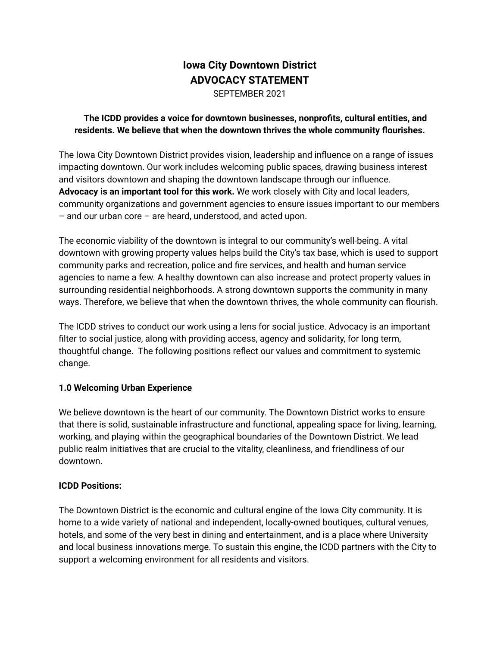# **Iowa City Downtown District ADVOCACY STATEMENT** SEPTEMBER 2021

#### **The ICDD provides a voice for downtown businesses, nonprofits, cultural entities, and residents. We believe that when the downtown thrives the whole community flourishes.**

The Iowa City Downtown District provides vision, leadership and influence on a range of issues impacting downtown. Our work includes welcoming public spaces, drawing business interest and visitors downtown and shaping the downtown landscape through our influence. **Advocacy is an important tool for this work.** We work closely with City and local leaders, community organizations and government agencies to ensure issues important to our members – and our urban core – are heard, understood, and acted upon.

The economic viability of the downtown is integral to our community's well-being. A vital downtown with growing property values helps build the City's tax base, which is used to support community parks and recreation, police and fire services, and health and human service agencies to name a few. A healthy downtown can also increase and protect property values in surrounding residential neighborhoods. A strong downtown supports the community in many ways. Therefore, we believe that when the downtown thrives, the whole community can flourish.

The ICDD strives to conduct our work using a lens for social justice. Advocacy is an important filter to social justice, along with providing access, agency and solidarity, for long term, thoughtful change. The following positions reflect our values and commitment to systemic change.

#### **1.0 Welcoming Urban Experience**

We believe downtown is the heart of our community. The Downtown District works to ensure that there is solid, sustainable infrastructure and functional, appealing space for living, learning, working, and playing within the geographical boundaries of the Downtown District. We lead public realm initiatives that are crucial to the vitality, cleanliness, and friendliness of our downtown.

#### **ICDD Positions:**

The Downtown District is the economic and cultural engine of the Iowa City community. It is home to a wide variety of national and independent, locally-owned boutiques, cultural venues, hotels, and some of the very best in dining and entertainment, and is a place where University and local business innovations merge. To sustain this engine, the ICDD partners with the City to support a welcoming environment for all residents and visitors.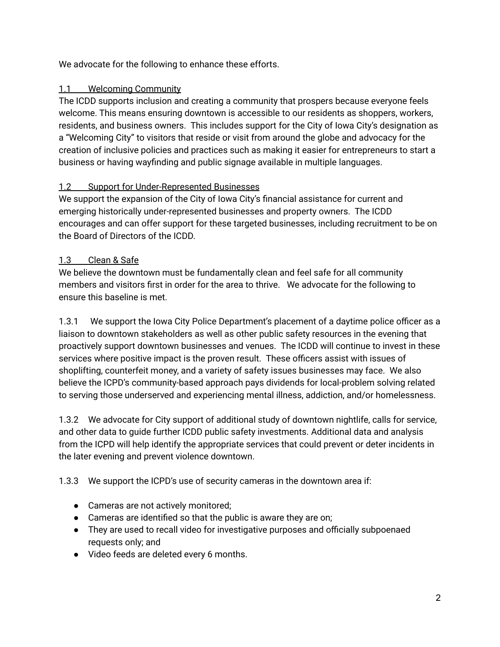We advocate for the following to enhance these efforts.

# 1.1 Welcoming Community

The ICDD supports inclusion and creating a community that prospers because everyone feels welcome. This means ensuring downtown is accessible to our residents as shoppers, workers, residents, and business owners. This includes support for the City of Iowa City's designation as a "Welcoming City" to visitors that reside or visit from around the globe and advocacy for the creation of inclusive policies and practices such as making it easier for entrepreneurs to start a business or having wayfinding and public signage available in multiple languages.

# 1.2 Support for Under-Represented Businesses

We support the expansion of the City of Iowa City's financial assistance for current and emerging historically under-represented businesses and property owners. The ICDD encourages and can offer support for these targeted businesses, including recruitment to be on the Board of Directors of the ICDD.

# 1.3 Clean & Safe

We believe the downtown must be fundamentally clean and feel safe for all community members and visitors first in order for the area to thrive. We advocate for the following to ensure this baseline is met.

1.3.1 We support the Iowa City Police Department's placement of a daytime police officer as a liaison to downtown stakeholders as well as other public safety resources in the evening that proactively support downtown businesses and venues. The ICDD will continue to invest in these services where positive impact is the proven result. These officers assist with issues of shoplifting, counterfeit money, and a variety of safety issues businesses may face. We also believe the ICPD's community-based approach pays dividends for local-problem solving related to serving those underserved and experiencing mental illness, addiction, and/or homelessness.

1.3.2 We advocate for City support of additional study of downtown nightlife, calls for service, and other data to guide further ICDD public safety investments. Additional data and analysis from the ICPD will help identify the appropriate services that could prevent or deter incidents in the later evening and prevent violence downtown.

1.3.3 We support the ICPD's use of security cameras in the downtown area if:

- Cameras are not actively monitored;
- Cameras are identified so that the public is aware they are on;
- They are used to recall video for investigative purposes and officially subpoenaed requests only; and
- Video feeds are deleted every 6 months.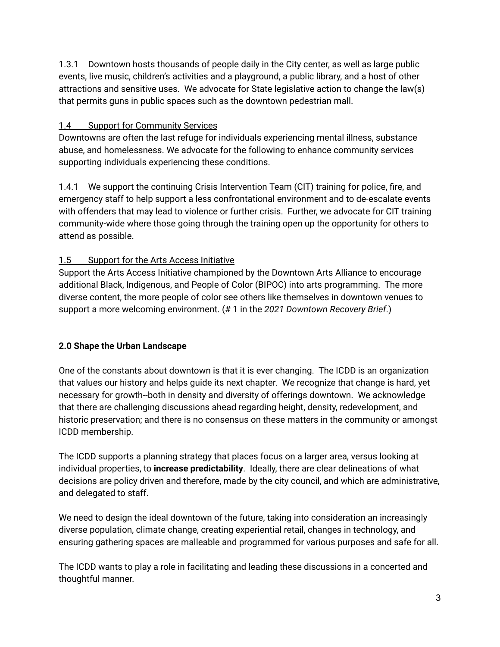1.3.1 Downtown hosts thousands of people daily in the City center, as well as large public events, live music, children's activities and a playground, a public library, and a host of other attractions and sensitive uses. We advocate for State legislative action to change the law(s) that permits guns in public spaces such as the downtown pedestrian mall.

### 1.4 Support for Community Services

Downtowns are often the last refuge for individuals experiencing mental illness, substance abuse, and homelessness. We advocate for the following to enhance community services supporting individuals experiencing these conditions.

1.4.1 We support the continuing Crisis Intervention Team (CIT) training for police, fire, and emergency staff to help support a less confrontational environment and to de-escalate events with offenders that may lead to violence or further crisis. Further, we advocate for CIT training community-wide where those going through the training open up the opportunity for others to attend as possible.

# 1.5 Support for the Arts Access Initiative

Support the Arts Access Initiative championed by the Downtown Arts Alliance to encourage additional Black, Indigenous, and People of Color (BIPOC) into arts programming. The more diverse content, the more people of color see others like themselves in downtown venues to support a more welcoming environment. (# 1 in the *2021 Downtown Recovery Brief*.)

# **2.0 Shape the Urban Landscape**

One of the constants about downtown is that it is ever changing. The ICDD is an organization that values our history and helps guide its next chapter. We recognize that change is hard, yet necessary for growth--both in density and diversity of offerings downtown. We acknowledge that there are challenging discussions ahead regarding height, density, redevelopment, and historic preservation; and there is no consensus on these matters in the community or amongst ICDD membership.

The ICDD supports a planning strategy that places focus on a larger area, versus looking at individual properties, to **increase predictability**. Ideally, there are clear delineations of what decisions are policy driven and therefore, made by the city council, and which are administrative, and delegated to staff.

We need to design the ideal downtown of the future, taking into consideration an increasingly diverse population, climate change, creating experiential retail, changes in technology, and ensuring gathering spaces are malleable and programmed for various purposes and safe for all.

The ICDD wants to play a role in facilitating and leading these discussions in a concerted and thoughtful manner.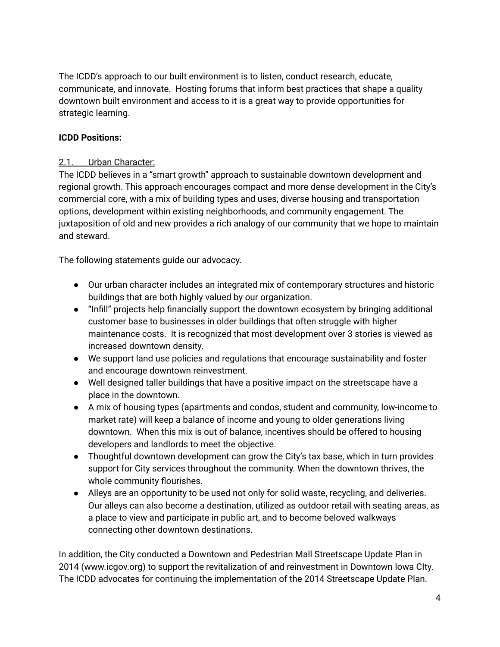The ICDD's approach to our built environment is to listen, conduct research, educate, communicate, and innovate. Hosting forums that inform best practices that shape a quality downtown built environment and access to it is a great way to provide opportunities for strategic learning.

#### **ICDD Positions:**

#### 2.1. Urban Character:

The ICDD believes in a "smart growth" approach to sustainable downtown development and regional growth. This approach encourages compact and more dense development in the City's commercial core, with a mix of building types and uses, diverse housing and transportation options, development within existing neighborhoods, and community engagement. The juxtaposition of old and new provides a rich analogy of our community that we hope to maintain and steward.

The following statements guide our advocacy.

- Our urban character includes an integrated mix of contemporary structures and historic buildings that are both highly valued by our organization.
- "Infill" projects help financially support the downtown ecosystem by bringing additional customer base to businesses in older buildings that often struggle with higher maintenance costs. It is recognized that most development over 3 stories is viewed as increased downtown density.
- We support land use policies and regulations that encourage sustainability and foster and encourage downtown reinvestment.
- Well designed taller buildings that have a positive impact on the streetscape have a place in the downtown.
- A mix of housing types (apartments and condos, student and community, low-income to market rate) will keep a balance of income and young to older generations living downtown. When this mix is out of balance, incentives should be offered to housing developers and landlords to meet the objective.
- Thoughtful downtown development can grow the City's tax base, which in turn provides support for City services throughout the community. When the downtown thrives, the whole community flourishes.
- Alleys are an opportunity to be used not only for solid waste, recycling, and deliveries. Our alleys can also become a destination, utilized as outdoor retail with seating areas, as a place to view and participate in public art, and to become beloved walkways connecting other downtown destinations.

In addition, the City conducted a Downtown and Pedestrian Mall Streetscape Update Plan in 2014 (www.icgov.org) to support the revitalization of and reinvestment in Downtown Iowa CIty. The ICDD advocates for continuing the implementation of the 2014 Streetscape Update Plan.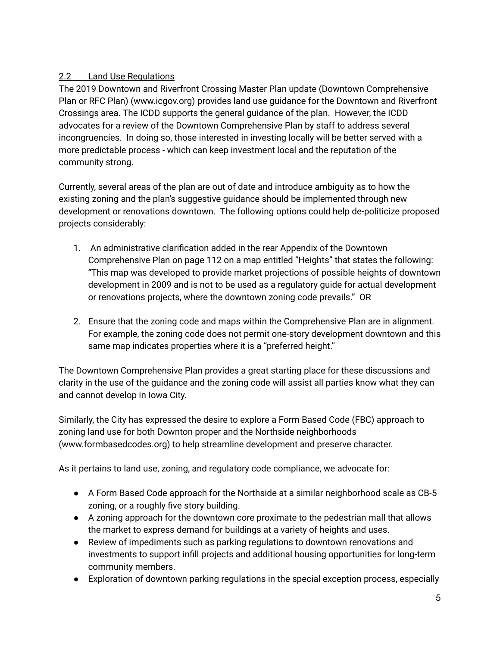## 2.2 Land Use Regulations

The 2019 Downtown and Riverfront Crossing Master Plan update (Downtown Comprehensive Plan or RFC Plan) (www.icgov.org) provides land use guidance for the Downtown and Riverfront Crossings area. The ICDD supports the general guidance of the plan. However, the ICDD advocates for a review of the Downtown Comprehensive Plan by staff to address several incongruencies. In doing so, those interested in investing locally will be better served with a more predictable process - which can keep investment local and the reputation of the community strong.

Currently, several areas of the plan are out of date and introduce ambiguity as to how the existing zoning and the plan's suggestive guidance should be implemented through new development or renovations downtown. The following options could help de-politicize proposed projects considerably:

- 1. An administrative clarification added in the rear Appendix of the Downtown Comprehensive Plan on page 112 on a map entitled "Heights" that states the following: "This map was developed to provide market projections of possible heights of downtown development in 2009 and is not to be used as a regulatory guide for actual development or renovations projects, where the downtown zoning code prevails." OR
- 2. Ensure that the zoning code and maps within the Comprehensive Plan are in alignment. For example, the zoning code does not permit one-story development downtown and this same map indicates properties where it is a "preferred height."

The Downtown Comprehensive Plan provides a great starting place for these discussions and clarity in the use of the guidance and the zoning code will assist all parties know what they can and cannot develop in Iowa City.

Similarly, the City has expressed the desire to explore a Form Based Code (FBC) approach to zoning land use for both Downton proper and the Northside neighborhoods (www.formbasedcodes.org) to help streamline development and preserve character.

As it pertains to land use, zoning, and regulatory code compliance, we advocate for:

- A Form Based Code approach for the Northside at a similar neighborhood scale as CB-5 zoning, or a roughly five story building.
- A zoning approach for the downtown core proximate to the pedestrian mall that allows the market to express demand for buildings at a variety of heights and uses.
- Review of impediments such as parking regulations to downtown renovations and investments to support infill projects and additional housing opportunities for long-term community members.
- Exploration of downtown parking regulations in the special exception process, especially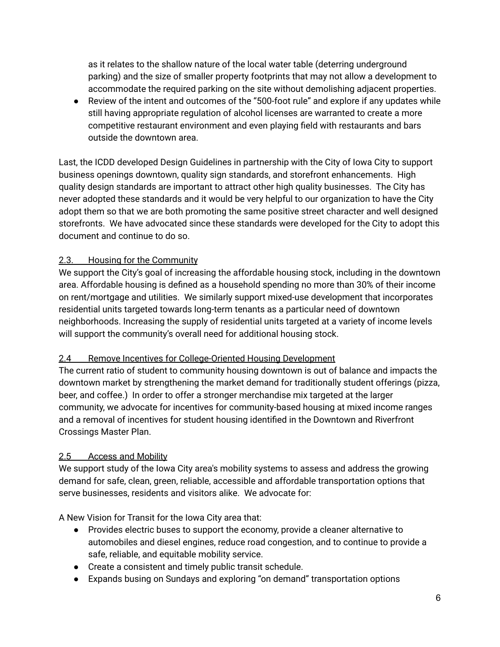as it relates to the shallow nature of the local water table (deterring underground parking) and the size of smaller property footprints that may not allow a development to accommodate the required parking on the site without demolishing adjacent properties.

● Review of the intent and outcomes of the "500-foot rule" and explore if any updates while still having appropriate regulation of alcohol licenses are warranted to create a more competitive restaurant environment and even playing field with restaurants and bars outside the downtown area.

Last, the ICDD developed Design Guidelines in partnership with the City of Iowa City to support business openings downtown, quality sign standards, and storefront enhancements. High quality design standards are important to attract other high quality businesses. The City has never adopted these standards and it would be very helpful to our organization to have the City adopt them so that we are both promoting the same positive street character and well designed storefronts. We have advocated since these standards were developed for the City to adopt this document and continue to do so.

#### 2.3. Housing for the Community

We support the City's goal of increasing the affordable housing stock, including in the downtown area. Affordable housing is defined as a household spending no more than 30% of their income on rent/mortgage and utilities. We similarly support mixed-use development that incorporates residential units targeted towards long-term tenants as a particular need of downtown neighborhoods. Increasing the supply of residential units targeted at a variety of income levels will support the community's overall need for additional housing stock.

#### 2.4 Remove Incentives for College-Oriented Housing Development

The current ratio of student to community housing downtown is out of balance and impacts the downtown market by strengthening the market demand for traditionally student offerings (pizza, beer, and coffee.) In order to offer a stronger merchandise mix targeted at the larger community, we advocate for incentives for community-based housing at mixed income ranges and a removal of incentives for student housing identified in the Downtown and Riverfront Crossings Master Plan.

#### 2.5 Access and Mobility

We support study of the Iowa City area's mobility systems to assess and address the growing demand for safe, clean, green, reliable, accessible and affordable transportation options that serve businesses, residents and visitors alike. We advocate for:

A New Vision for Transit for the Iowa City area that:

- Provides electric buses to support the economy, provide a cleaner alternative to automobiles and diesel engines, reduce road congestion, and to continue to provide a safe, reliable, and equitable mobility service.
- Create a consistent and timely public transit schedule.
- Expands busing on Sundays and exploring "on demand" transportation options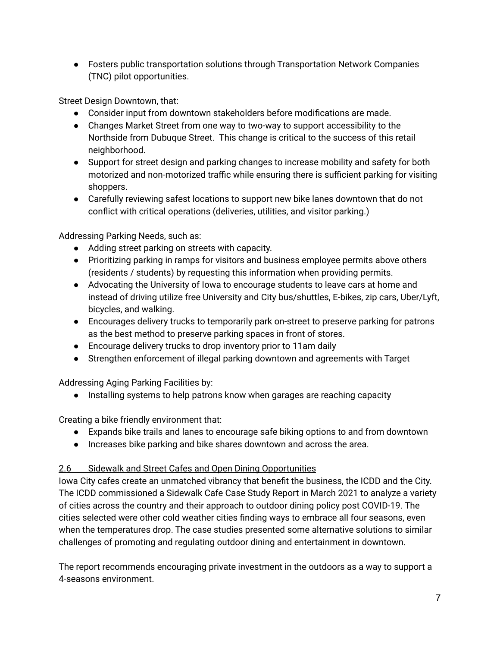● Fosters public transportation solutions through Transportation Network Companies (TNC) pilot opportunities.

Street Design Downtown, that:

- Consider input from downtown stakeholders before modifications are made.
- Changes Market Street from one way to two-way to support accessibility to the Northside from Dubuque Street. This change is critical to the success of this retail neighborhood.
- Support for street design and parking changes to increase mobility and safety for both motorized and non-motorized traffic while ensuring there is sufficient parking for visiting shoppers.
- Carefully reviewing safest locations to support new bike lanes downtown that do not conflict with critical operations (deliveries, utilities, and visitor parking.)

Addressing Parking Needs, such as:

- Adding street parking on streets with capacity.
- Prioritizing parking in ramps for visitors and business employee permits above others (residents / students) by requesting this information when providing permits.
- Advocating the University of Iowa to encourage students to leave cars at home and instead of driving utilize free University and City bus/shuttles, E-bikes, zip cars, Uber/Lyft, bicycles, and walking.
- Encourages delivery trucks to temporarily park on-street to preserve parking for patrons as the best method to preserve parking spaces in front of stores.
- Encourage delivery trucks to drop inventory prior to 11am daily
- Strengthen enforcement of illegal parking downtown and agreements with Target

Addressing Aging Parking Facilities by:

● Installing systems to help patrons know when garages are reaching capacity

Creating a bike friendly environment that:

- Expands bike trails and lanes to encourage safe biking options to and from downtown
- Increases bike parking and bike shares downtown and across the area.

#### 2.6 Sidewalk and Street Cafes and Open Dining Opportunities

Iowa City cafes create an unmatched vibrancy that benefit the business, the ICDD and the City. The ICDD commissioned a Sidewalk Cafe Case Study Report in March 2021 to analyze a variety of cities across the country and their approach to outdoor dining policy post COVID-19. The cities selected were other cold weather cities finding ways to embrace all four seasons, even when the temperatures drop. The case studies presented some alternative solutions to similar challenges of promoting and regulating outdoor dining and entertainment in downtown.

The report recommends encouraging private investment in the outdoors as a way to support a 4-seasons environment.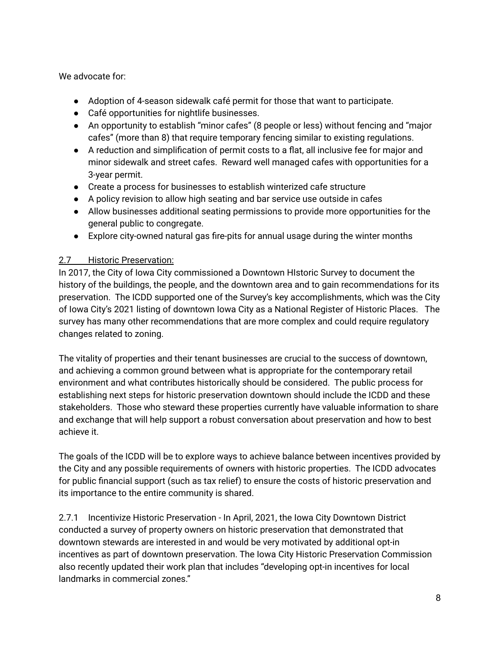We advocate for:

- Adoption of 4-season sidewalk café permit for those that want to participate.
- Café opportunities for nightlife businesses.
- An opportunity to establish "minor cafes" (8 people or less) without fencing and "major cafes" (more than 8) that require temporary fencing similar to existing regulations.
- A reduction and simplification of permit costs to a flat, all inclusive fee for major and minor sidewalk and street cafes. Reward well managed cafes with opportunities for a 3-year permit.
- Create a process for businesses to establish winterized cafe structure
- A policy revision to allow high seating and bar service use outside in cafes
- Allow businesses additional seating permissions to provide more opportunities for the general public to congregate.
- Explore city-owned natural gas fire-pits for annual usage during the winter months

### 2.7 Historic Preservation:

In 2017, the City of Iowa City commissioned a Downtown HIstoric Survey to document the history of the buildings, the people, and the downtown area and to gain recommendations for its preservation. The ICDD supported one of the Survey's key accomplishments, which was the City of Iowa City's 2021 listing of downtown Iowa City as a National Register of Historic Places. The survey has many other recommendations that are more complex and could require regulatory changes related to zoning.

The vitality of properties and their tenant businesses are crucial to the success of downtown, and achieving a common ground between what is appropriate for the contemporary retail environment and what contributes historically should be considered. The public process for establishing next steps for historic preservation downtown should include the ICDD and these stakeholders. Those who steward these properties currently have valuable information to share and exchange that will help support a robust conversation about preservation and how to best achieve it.

The goals of the ICDD will be to explore ways to achieve balance between incentives provided by the City and any possible requirements of owners with historic properties. The ICDD advocates for public financial support (such as tax relief) to ensure the costs of historic preservation and its importance to the entire community is shared.

2.7.1 Incentivize Historic Preservation - In April, 2021, the Iowa City Downtown District conducted a survey of property owners on historic preservation that demonstrated that downtown stewards are interested in and would be very motivated by additional opt-in incentives as part of downtown preservation. The Iowa City Historic Preservation Commission also recently updated their work plan that includes "developing opt-in incentives for local landmarks in commercial zones."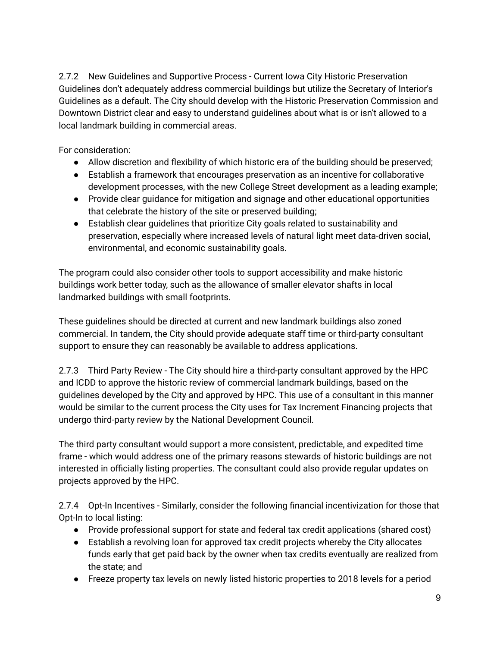2.7.2 New Guidelines and Supportive Process - Current Iowa City Historic Preservation Guidelines don't adequately address commercial buildings but utilize the Secretary of Interior's Guidelines as a default. The City should develop with the Historic Preservation Commission and Downtown District clear and easy to understand guidelines about what is or isn't allowed to a local landmark building in commercial areas.

For consideration:

- Allow discretion and flexibility of which historic era of the building should be preserved;
- Establish a framework that encourages preservation as an incentive for collaborative development processes, with the new College Street development as a leading example;
- Provide clear quidance for mitigation and signage and other educational opportunities that celebrate the history of the site or preserved building;
- Establish clear guidelines that prioritize City goals related to sustainability and preservation, especially where increased levels of natural light meet data-driven social, environmental, and economic sustainability goals.

The program could also consider other tools to support accessibility and make historic buildings work better today, such as the allowance of smaller elevator shafts in local landmarked buildings with small footprints.

These guidelines should be directed at current and new landmark buildings also zoned commercial. In tandem, the City should provide adequate staff time or third-party consultant support to ensure they can reasonably be available to address applications.

2.7.3 Third Party Review - The City should hire a third-party consultant approved by the HPC and ICDD to approve the historic review of commercial landmark buildings, based on the guidelines developed by the City and approved by HPC. This use of a consultant in this manner would be similar to the current process the City uses for Tax Increment Financing projects that undergo third-party review by the National Development Council.

The third party consultant would support a more consistent, predictable, and expedited time frame - which would address one of the primary reasons stewards of historic buildings are not interested in officially listing properties. The consultant could also provide regular updates on projects approved by the HPC.

2.7.4 Opt-In Incentives - Similarly, consider the following financial incentivization for those that Opt-In to local listing:

- Provide professional support for state and federal tax credit applications (shared cost)
- Establish a revolving loan for approved tax credit projects whereby the City allocates funds early that get paid back by the owner when tax credits eventually are realized from the state; and
- Freeze property tax levels on newly listed historic properties to 2018 levels for a period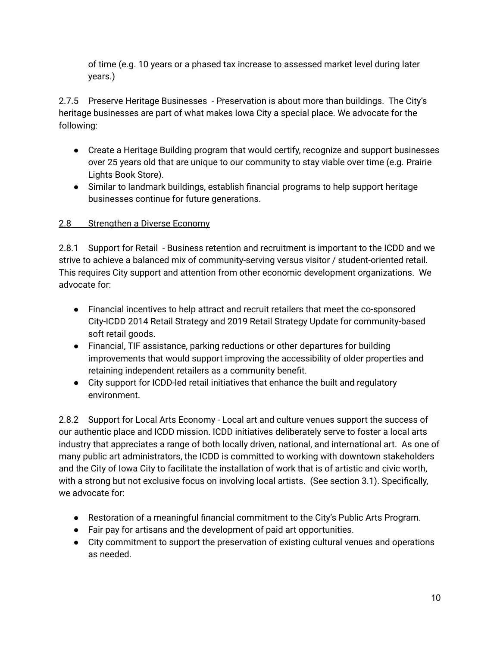of time (e.g. 10 years or a phased tax increase to assessed market level during later years.)

2.7.5 Preserve Heritage Businesses - Preservation is about more than buildings. The City's heritage businesses are part of what makes Iowa City a special place. We advocate for the following:

- Create a Heritage Building program that would certify, recognize and support businesses over 25 years old that are unique to our community to stay viable over time (e.g. Prairie Lights Book Store).
- Similar to landmark buildings, establish financial programs to help support heritage businesses continue for future generations.

# 2.8 Strengthen a Diverse Economy

2.8.1 Support for Retail - Business retention and recruitment is important to the ICDD and we strive to achieve a balanced mix of community-serving versus visitor / student-oriented retail. This requires City support and attention from other economic development organizations. We advocate for:

- Financial incentives to help attract and recruit retailers that meet the co-sponsored City-ICDD 2014 Retail Strategy and 2019 Retail Strategy Update for community-based soft retail goods.
- Financial, TIF assistance, parking reductions or other departures for building improvements that would support improving the accessibility of older properties and retaining independent retailers as a community benefit.
- City support for ICDD-led retail initiatives that enhance the built and regulatory environment.

2.8.2 Support for Local Arts Economy - Local art and culture venues support the success of our authentic place and ICDD mission. ICDD initiatives deliberately serve to foster a local arts industry that appreciates a range of both locally driven, national, and international art. As one of many public art administrators, the ICDD is committed to working with downtown stakeholders and the City of Iowa City to facilitate the installation of work that is of artistic and civic worth, with a strong but not exclusive focus on involving local artists. (See section 3.1). Specifically, we advocate for:

- Restoration of a meaningful financial commitment to the City's Public Arts Program.
- Fair pay for artisans and the development of paid art opportunities.
- City commitment to support the preservation of existing cultural venues and operations as needed.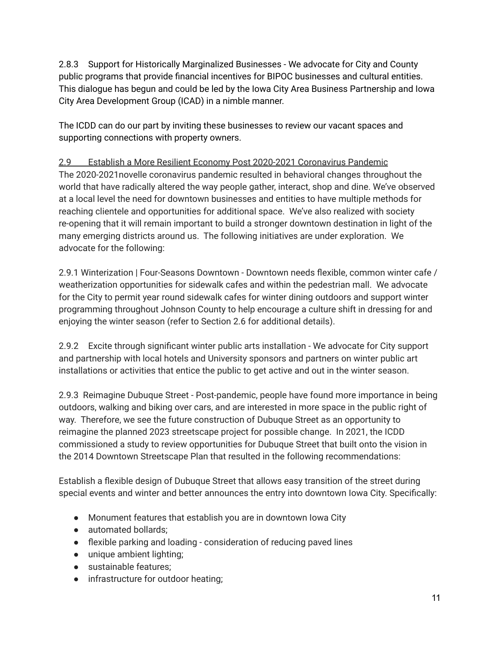2.8.3 Support for Historically Marginalized Businesses - We advocate for City and County public programs that provide financial incentives for BIPOC businesses and cultural entities. This dialogue has begun and could be led by the Iowa City Area Business Partnership and Iowa City Area Development Group (ICAD) in a nimble manner.

The ICDD can do our part by inviting these businesses to review our vacant spaces and supporting connections with property owners.

# 2.9 Establish a More Resilient Economy Post 2020-2021 Coronavirus Pandemic

The 2020-2021novelle coronavirus pandemic resulted in behavioral changes throughout the world that have radically altered the way people gather, interact, shop and dine. We've observed at a local level the need for downtown businesses and entities to have multiple methods for reaching clientele and opportunities for additional space. We've also realized with society re-opening that it will remain important to build a stronger downtown destination in light of the many emerging districts around us. The following initiatives are under exploration. We advocate for the following:

2.9.1 Winterization | Four-Seasons Downtown - Downtown needs flexible, common winter cafe / weatherization opportunities for sidewalk cafes and within the pedestrian mall. We advocate for the City to permit year round sidewalk cafes for winter dining outdoors and support winter programming throughout Johnson County to help encourage a culture shift in dressing for and enjoying the winter season (refer to Section 2.6 for additional details).

2.9.2 Excite through significant winter public arts installation - We advocate for City support and partnership with local hotels and University sponsors and partners on winter public art installations or activities that entice the public to get active and out in the winter season.

2.9.3 Reimagine Dubuque Street - Post-pandemic, people have found more importance in being outdoors, walking and biking over cars, and are interested in more space in the public right of way. Therefore, we see the future construction of Dubuque Street as an opportunity to reimagine the planned 2023 streetscape project for possible change. In 2021, the ICDD commissioned a study to review opportunities for Dubuque Street that built onto the vision in the 2014 Downtown Streetscape Plan that resulted in the following recommendations:

Establish a flexible design of Dubuque Street that allows easy transition of the street during special events and winter and better announces the entry into downtown Iowa City. Specifically:

- Monument features that establish you are in downtown Iowa City
- automated bollards;
- flexible parking and loading consideration of reducing paved lines
- unique ambient lighting;
- sustainable features;
- infrastructure for outdoor heating;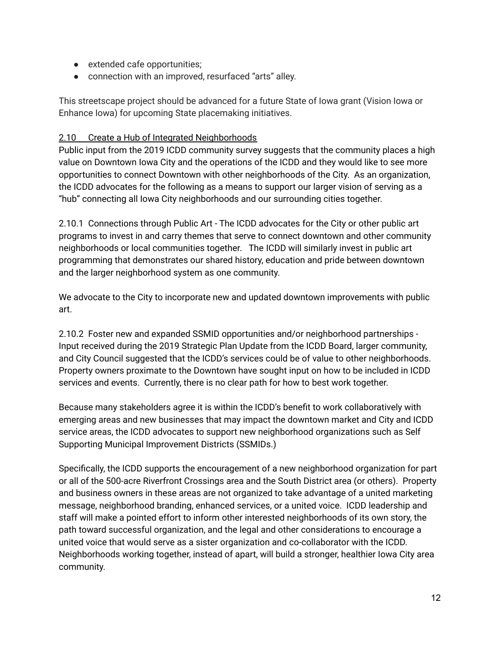- extended cafe opportunities;
- connection with an improved, resurfaced "arts" alley.

This streetscape project should be advanced for a future State of Iowa grant (Vision Iowa or Enhance Iowa) for upcoming State placemaking initiatives.

#### 2.10 Create a Hub of Integrated Neighborhoods

Public input from the 2019 ICDD community survey suggests that the community places a high value on Downtown Iowa City and the operations of the ICDD and they would like to see more opportunities to connect Downtown with other neighborhoods of the City. As an organization, the ICDD advocates for the following as a means to support our larger vision of serving as a "hub" connecting all Iowa City neighborhoods and our surrounding cities together.

2.10.1 Connections through Public Art - The ICDD advocates for the City or other public art programs to invest in and carry themes that serve to connect downtown and other community neighborhoods or local communities together. The ICDD will similarly invest in public art programming that demonstrates our shared history, education and pride between downtown and the larger neighborhood system as one community.

We advocate to the City to incorporate new and updated downtown improvements with public art.

2.10.2 Foster new and expanded SSMID opportunities and/or neighborhood partnerships - Input received during the 2019 Strategic Plan Update from the ICDD Board, larger community, and City Council suggested that the ICDD's services could be of value to other neighborhoods. Property owners proximate to the Downtown have sought input on how to be included in ICDD services and events. Currently, there is no clear path for how to best work together.

Because many stakeholders agree it is within the ICDD's benefit to work collaboratively with emerging areas and new businesses that may impact the downtown market and City and ICDD service areas, the ICDD advocates to support new neighborhood organizations such as Self Supporting Municipal Improvement Districts (SSMIDs.)

Specifically, the ICDD supports the encouragement of a new neighborhood organization for part or all of the 500-acre Riverfront Crossings area and the South District area (or others). Property and business owners in these areas are not organized to take advantage of a united marketing message, neighborhood branding, enhanced services, or a united voice. ICDD leadership and staff will make a pointed effort to inform other interested neighborhoods of its own story, the path toward successful organization, and the legal and other considerations to encourage a united voice that would serve as a sister organization and co-collaborator with the ICDD. Neighborhoods working together, instead of apart, will build a stronger, healthier Iowa City area community.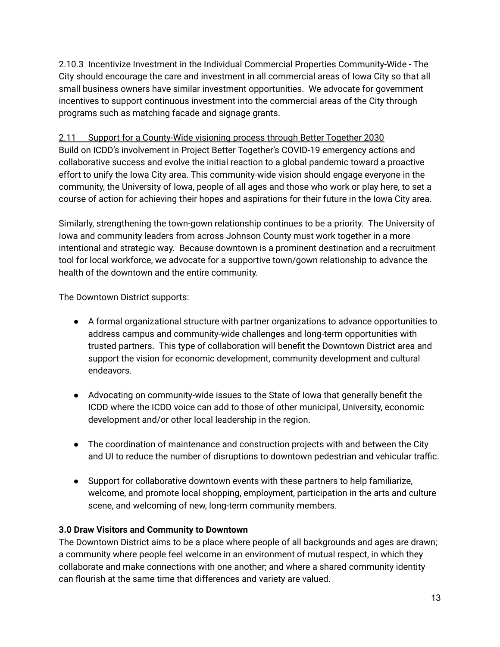2.10.3 Incentivize Investment in the Individual Commercial Properties Community-Wide - The City should encourage the care and investment in all commercial areas of Iowa City so that all small business owners have similar investment opportunities. We advocate for government incentives to support continuous investment into the commercial areas of the City through programs such as matching facade and signage grants.

### 2.11 Support for a County-Wide visioning process through Better Together 2030

Build on ICDD's involvement in Project Better Together's COVID-19 emergency actions and collaborative success and evolve the initial reaction to a global pandemic toward a proactive effort to unify the Iowa City area. This community-wide vision should engage everyone in the community, the University of Iowa, people of all ages and those who work or play here, to set a course of action for achieving their hopes and aspirations for their future in the Iowa City area.

Similarly, strengthening the town-gown relationship continues to be a priority. The University of Iowa and community leaders from across Johnson County must work together in a more intentional and strategic way. Because downtown is a prominent destination and a recruitment tool for local workforce, we advocate for a supportive town/gown relationship to advance the health of the downtown and the entire community.

The Downtown District supports:

- A formal organizational structure with partner organizations to advance opportunities to address campus and community-wide challenges and long-term opportunities with trusted partners. This type of collaboration will benefit the Downtown District area and support the vision for economic development, community development and cultural endeavors.
- Advocating on community-wide issues to the State of Iowa that generally benefit the ICDD where the ICDD voice can add to those of other municipal, University, economic development and/or other local leadership in the region.
- The coordination of maintenance and construction projects with and between the City and UI to reduce the number of disruptions to downtown pedestrian and vehicular traffic.
- Support for collaborative downtown events with these partners to help familiarize, welcome, and promote local shopping, employment, participation in the arts and culture scene, and welcoming of new, long-term community members.

#### **3.0 Draw Visitors and Community to Downtown**

The Downtown District aims to be a place where people of all backgrounds and ages are drawn; a community where people feel welcome in an environment of mutual respect, in which they collaborate and make connections with one another; and where a shared community identity can flourish at the same time that differences and variety are valued.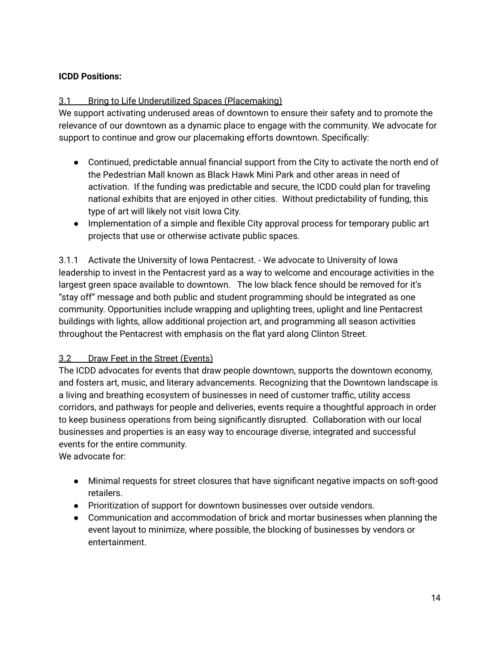### **ICDD Positions:**

#### 3.1 Bring to Life Underutilized Spaces (Placemaking)

We support activating underused areas of downtown to ensure their safety and to promote the relevance of our downtown as a dynamic place to engage with the community. We advocate for support to continue and grow our placemaking efforts downtown. Specifically:

- Continued, predictable annual financial support from the City to activate the north end of the Pedestrian Mall known as Black Hawk Mini Park and other areas in need of activation. If the funding was predictable and secure, the ICDD could plan for traveling national exhibits that are enjoyed in other cities. Without predictability of funding, this type of art will likely not visit Iowa City.
- Implementation of a simple and flexible City approval process for temporary public art projects that use or otherwise activate public spaces.

3.1.1 Activate the University of Iowa Pentacrest. - We advocate to University of Iowa leadership to invest in the Pentacrest yard as a way to welcome and encourage activities in the largest green space available to downtown. The low black fence should be removed for it's "stay off" message and both public and student programming should be integrated as one community. Opportunities include wrapping and uplighting trees, uplight and line Pentacrest buildings with lights, allow additional projection art, and programming all season activities throughout the Pentacrest with emphasis on the flat yard along Clinton Street.

#### 3.2 Draw Feet in the Street (Events)

The ICDD advocates for events that draw people downtown, supports the downtown economy, and fosters art, music, and literary advancements. Recognizing that the Downtown landscape is a living and breathing ecosystem of businesses in need of customer traffic, utility access corridors, and pathways for people and deliveries, events require a thoughtful approach in order to keep business operations from being significantly disrupted. Collaboration with our local businesses and properties is an easy way to encourage diverse, integrated and successful events for the entire community.

We advocate for:

- Minimal requests for street closures that have significant negative impacts on soft-good retailers.
- Prioritization of support for downtown businesses over outside vendors.
- Communication and accommodation of brick and mortar businesses when planning the event layout to minimize, where possible, the blocking of businesses by vendors or entertainment.